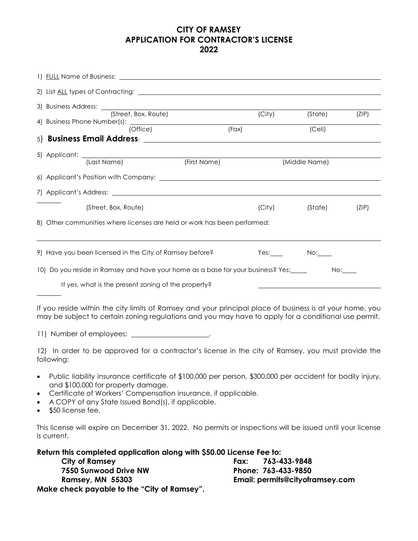## **CITY OF RAMSEY APPLICATION FOR CONTRACTOR'S LICENSE 2022**

| 3) Business Address: ____<br>(Street, Box, Route)                                                                                                                                                                                                                                                                           |              | (City) | (State)       | (ZIP)     |
|-----------------------------------------------------------------------------------------------------------------------------------------------------------------------------------------------------------------------------------------------------------------------------------------------------------------------------|--------------|--------|---------------|-----------|
| 4) Business Phone Number(s): ________<br>(Office)                                                                                                                                                                                                                                                                           | (Fax)        |        | (Cell)        |           |
| 5) Business Email Address: <b>Example 2014</b>                                                                                                                                                                                                                                                                              |              |        |               |           |
| (Last Name)                                                                                                                                                                                                                                                                                                                 | (First Name) |        | (Middle Name) |           |
|                                                                                                                                                                                                                                                                                                                             |              |        |               |           |
|                                                                                                                                                                                                                                                                                                                             |              |        |               |           |
| (Street, Box, Route)                                                                                                                                                                                                                                                                                                        |              | (City) | (State)       | (ZIP)     |
| 8) Other communities where licenses are held or work has been performed:                                                                                                                                                                                                                                                    |              |        |               |           |
| 9) Have you been licensed in the City of Ramsey before?                                                                                                                                                                                                                                                                     |              | Yes:   | $No:\_\_$     |           |
| 10) Do you reside in Ramsey and have your home as a base for your business? Yes:_____                                                                                                                                                                                                                                       |              |        |               | $No:\_\_$ |
| If yes, what is the present zoning of the property?                                                                                                                                                                                                                                                                         |              |        |               |           |
| If you reside within the city limits of Ramsey and your principal place of business is at your home, you<br>may be subject to certain zoning regulations and you may have to apply for a conditional use permit.                                                                                                            |              |        |               |           |
| 11) Number of employees: __________________.                                                                                                                                                                                                                                                                                |              |        |               |           |
| 12) In order to be approved for a contractor's license in the city of Ramsey, you must provide the<br>following:                                                                                                                                                                                                            |              |        |               |           |
| Public liability insurance certificate of \$100,000 per person, \$300,000 per accident for bodily injury,<br>and \$100,000 for property damage.<br>Certificate of Workers' Compensation insurance, if applicable.<br>$\bullet$<br>A COPY of any State Issued Bond(s), if applicable.<br>٠<br>\$50 license fee.<br>$\bullet$ |              |        |               |           |
| This license will expire on December 31, 2022. No permits or inspections will be issued until your license<br>is current.                                                                                                                                                                                                   |              |        |               |           |
| Return this completed application along with \$50.00 License Fee to:                                                                                                                                                                                                                                                        |              |        |               |           |

**City of Ramsey Fax: 763-433-9848 7550 Sunwood Drive NW Phone: 763-433-9850 Make check payable to the "City of Ramsey".**

**Ramsey, MN 55303 Email: permits@cityoframsey.com**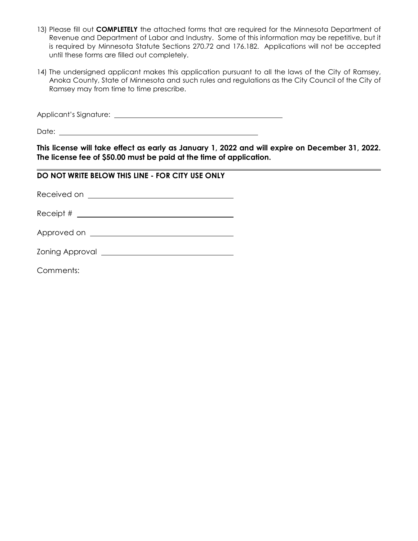- 13) Please fill out **COMPLETELY** the attached forms that are required for the Minnesota Department of Revenue and Department of Labor and Industry. Some of this information may be repetitive, but it is required by Minnesota Statute Sections 270.72 and 176.182. Applications will not be accepted until these forms are filled out completely.
- 14) The undersigned applicant makes this application pursuant to all the laws of the City of Ramsey, Anoka County, State of Minnesota and such rules and regulations as the City Council of the City of Ramsey may from time to time prescribe.

Applicant's Signature:

Date: when the contract of the contract of the contract of the contract of the contract of the contract of the contract of the contract of the contract of the contract of the contract of the contract of the contract of the

**This license will take effect as early as January 1, 2022 and will expire on December 31, 2022. The license fee of \$50.00 must be paid at the time of application.**

## **DO NOT WRITE BELOW THIS LINE - FOR CITY USE ONLY**

Received on **Example 20** Received on

Receipt #

Approved on

Zoning Approval

Comments: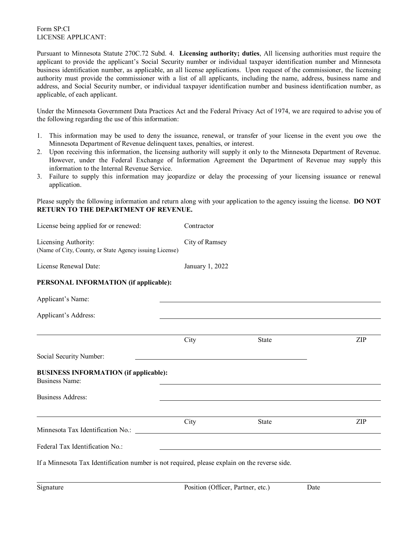## Form SP:CI LICENSE APPLICANT:

Pursuant to Minnesota Statute 270C.72 Subd. 4. **Licensing authority; duties**, All licensing authorities must require the applicant to provide the applicant's Social Security number or individual taxpayer identification number and Minnesota business identification number, as applicable, an all license applications. Upon request of the commissioner, the licensing authority must provide the commissioner with a list of all applicants, including the name, address, business name and address, and Social Security number, or individual taxpayer identification number and business identification number, as applicable, of each applicant.

Under the Minnesota Government Data Practices Act and the Federal Privacy Act of 1974, we are required to advise you of the following regarding the use of this information:

- 1. This information may be used to deny the issuance, renewal, or transfer of your license in the event you owe the Minnesota Department of Revenue delinquent taxes, penalties, or interest.
- 2. Upon receiving this information, the licensing authority will supply it only to the Minnesota Department of Revenue. However, under the Federal Exchange of Information Agreement the Department of Revenue may supply this information to the Internal Revenue Service.
- 3. Failure to supply this information may jeopardize or delay the processing of your licensing issuance or renewal application.

Please supply the following information and return along with your application to the agency issuing the license. **DO NOT RETURN TO THE DEPARTMENT OF REVENUE.**

| License being applied for or renewed:                                                         | Contractor      |                                                             |     |  |
|-----------------------------------------------------------------------------------------------|-----------------|-------------------------------------------------------------|-----|--|
| Licensing Authority:<br>(Name of City, County, or State Agency issuing License)               | City of Ramsey  |                                                             |     |  |
| License Renewal Date:                                                                         | January 1, 2022 |                                                             |     |  |
| PERSONAL INFORMATION (if applicable):                                                         |                 |                                                             |     |  |
| Applicant's Name:                                                                             |                 |                                                             |     |  |
| Applicant's Address:                                                                          |                 |                                                             |     |  |
|                                                                                               | City            | State                                                       | ZIP |  |
| Social Security Number:                                                                       |                 |                                                             |     |  |
| <b>BUSINESS INFORMATION (if applicable):</b><br><b>Business Name:</b>                         |                 |                                                             |     |  |
| <b>Business Address:</b>                                                                      |                 |                                                             |     |  |
|                                                                                               | City            | State                                                       | ZIP |  |
| Federal Tax Identification No.:                                                               |                 | <u> 1989 - Johann Stein, Amerikaansk politiker (* 1908)</u> |     |  |
| If a Minnesota Tax Identification number is not required, please explain on the reverse side. |                 |                                                             |     |  |